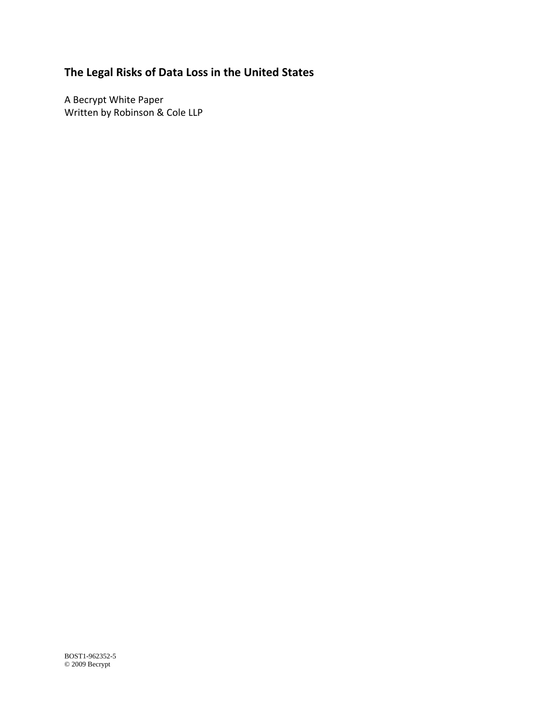# **The Legal Risks of Data Loss in the United States**

A Becrypt White Paper Written by Robinson & Cole LLP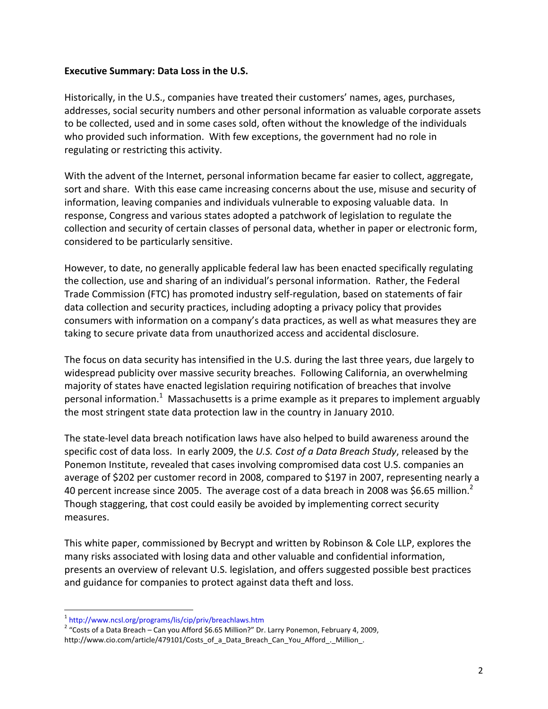#### **Executive Summary: Data Loss in the U.S.**

Historically, in the U.S., companies have treated their customers' names, ages, purchases, addresses, social security numbers and other personal information as valuable corporate assets to be collected, used and in some cases sold, often without the knowledge of the individuals who provided such information. With few exceptions, the government had no role in regulating or restricting this activity.

With the advent of the Internet, personal information became far easier to collect, aggregate, sort and share. With this ease came increasing concerns about the use, misuse and security of information, leaving companies and individuals vulnerable to exposing valuable data. In response, Congress and various states adopted a patchwork of legislation to regulate the collection and security of certain classes of personal data, whether in paper or electronic form, considered to be particularly sensitive.

However, to date, no generally applicable federal law has been enacted specifically regulating the collection, use and sharing of an individual's personal information. Rather, the Federal Trade Commission (FTC) has promoted industry self‐regulation, based on statements of fair data collection and security practices, including adopting a privacy policy that provides consumers with information on a company's data practices, as well as what measures they are taking to secure private data from unauthorized access and accidental disclosure.

The focus on data security has intensified in the U.S. during the last three years, due largely to widespread publicity over massive security breaches. Following California, an overwhelming majority of states have enacted legislation requiring notification of breaches that involve personal information.<sup>1</sup> Massachusetts is a prime example as it prepares to implement arguably the most stringent state data protection law in the country in January 2010.

The state‐level data breach notification laws have also helped to build awareness around the specific cost of data loss. In early 2009, the *U.S. Cost of a Data Breach Study*, released by the Ponemon Institute, revealed that cases involving compromised data cost U.S. companies an average of \$202 per customer record in 2008, compared to \$197 in 2007, representing nearly a 40 percent increase since 2005. The average cost of a data breach in 2008 was \$6.65 million.<sup>2</sup> Though staggering, that cost could easily be avoided by implementing correct security measures.

This white paper, commissioned by Becrypt and written by Robinson & Cole LLP, explores the many risks associated with losing data and other valuable and confidential information, presents an overview of relevant U.S. legislation, and offers suggested possible best practices and guidance for companies to protect against data theft and loss.

 $\overline{a}$ 

<sup>&</sup>lt;sup>1</sup> http://www.ncsl.org/programs/lis/cip/priv/breachlaws.htm<br><sup>2</sup> "Costs of a Data Breach – Can you Afford \$6.65 Million?" Dr. Larry Ponemon, February 4, 2009, http://www.cio.com/article/479101/Costs\_of\_a\_Data\_Breach\_Can\_You\_Afford\_.\_Million\_.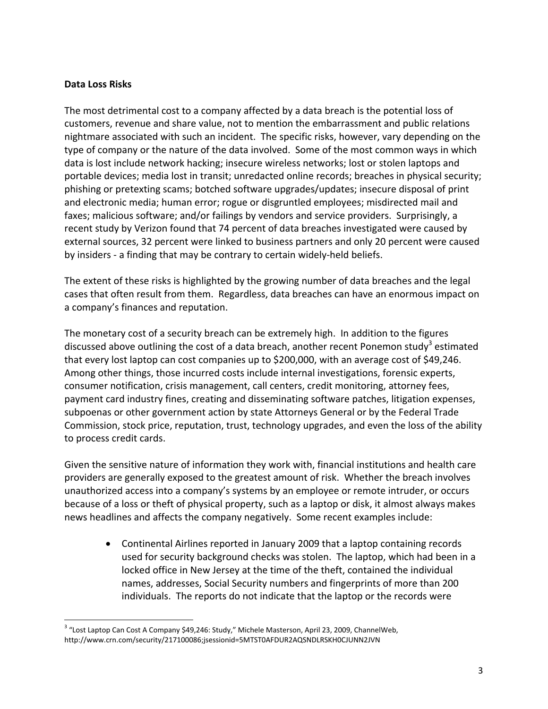#### **Data Loss Risks**

 $\overline{a}$ 

The most detrimental cost to a company affected by a data breach is the potential loss of customers, revenue and share value, not to mention the embarrassment and public relations nightmare associated with such an incident. The specific risks, however, vary depending on the type of company or the nature of the data involved. Some of the most common ways in which data is lost include network hacking; insecure wireless networks; lost or stolen laptops and portable devices; media lost in transit; unredacted online records; breaches in physical security; phishing or pretexting scams; botched software upgrades/updates; insecure disposal of print and electronic media; human error; rogue or disgruntled employees; misdirected mail and faxes; malicious software; and/or failings by vendors and service providers. Surprisingly, a recent study by Verizon found that 74 percent of data breaches investigated were caused by external sources, 32 percent were linked to business partners and only 20 percent were caused by insiders ‐ a finding that may be contrary to certain widely‐held beliefs.

The extent of these risks is highlighted by the growing number of data breaches and the legal cases that often result from them. Regardless, data breaches can have an enormous impact on a company's finances and reputation.

The monetary cost of a security breach can be extremely high. In addition to the figures discussed above outlining the cost of a data breach, another recent Ponemon study<sup>3</sup> estimated that every lost laptop can cost companies up to \$200,000, with an average cost of \$49,246. Among other things, those incurred costs include internal investigations, forensic experts, consumer notification, crisis management, call centers, credit monitoring, attorney fees, payment card industry fines, creating and disseminating software patches, litigation expenses, subpoenas or other government action by state Attorneys General or by the Federal Trade Commission, stock price, reputation, trust, technology upgrades, and even the loss of the ability to process credit cards.

Given the sensitive nature of information they work with, financial institutions and health care providers are generally exposed to the greatest amount of risk. Whether the breach involves unauthorized access into a company's systems by an employee or remote intruder, or occurs because of a loss or theft of physical property, such as a laptop or disk, it almost always makes news headlines and affects the company negatively. Some recent examples include:

• Continental Airlines reported in January 2009 that a laptop containing records used for security background checks was stolen. The laptop, which had been in a locked office in New Jersey at the time of the theft, contained the individual names, addresses, Social Security numbers and fingerprints of more than 200 individuals. The reports do not indicate that the laptop or the records were

<sup>&</sup>lt;sup>3</sup> "Lost Laptop Can Cost A Company \$49,246: Study," Michele Masterson, April 23, 2009, ChannelWeb, http://www.crn.com/security/217100086;jsessionid=5MTST0AFDUR2AQSNDLRSKH0CJUNN2JVN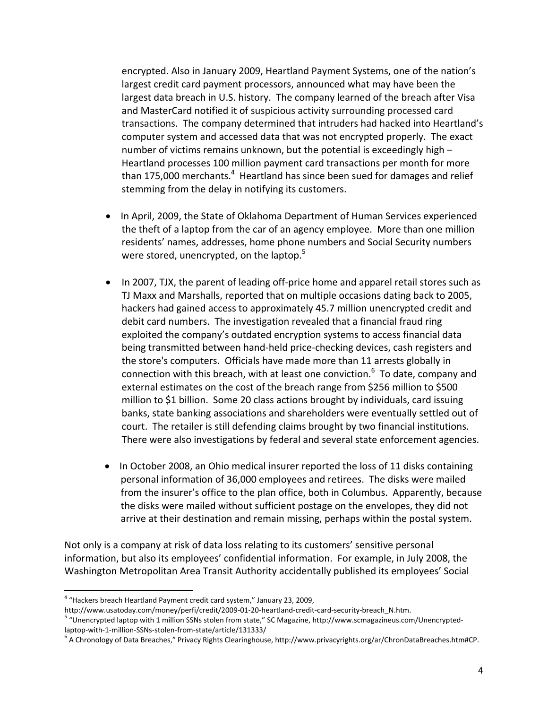encrypted. Also in January 2009, Heartland Payment Systems, one of the nation's largest credit card payment processors, announced what may have been the largest data breach in U.S. history. The company learned of the breach after Visa and MasterCard notified it of suspicious activity surrounding processed card transactions. The company determined that intruders had hacked into Heartland's computer system and accessed data that was not encrypted properly. The exact number of victims remains unknown, but the potential is exceedingly high – Heartland processes 100 million payment card transactions per month for more than 175,000 merchants.<sup>4</sup> Heartland has since been sued for damages and relief stemming from the delay in notifying its customers.

- In April, 2009, the State of Oklahoma Department of Human Services experienced the theft of a laptop from the car of an agency employee. More than one million residents' names, addresses, home phone numbers and Social Security numbers were stored, unencrypted, on the laptop.<sup>5</sup>
- In 2007, TJX, the parent of leading off-price home and apparel retail stores such as TJ Maxx and Marshalls, reported that on multiple occasions dating back to 2005, hackers had gained access to approximately 45.7 million unencrypted credit and debit card numbers. The investigation revealed that a financial fraud ring exploited the company's outdated encryption systems to access financial data being transmitted between hand‐held price‐checking devices, cash registers and the store's computers. Officials have made more than 11 arrests globally in connection with this breach, with at least one conviction.<sup>6</sup> To date, company and external estimates on the cost of the breach range from \$256 million to \$500 million to \$1 billion. Some 20 class actions brought by individuals, card issuing banks, state banking associations and shareholders were eventually settled out of court. The retailer is still defending claims brought by two financial institutions. There were also investigations by federal and several state enforcement agencies.
- In October 2008, an Ohio medical insurer reported the loss of 11 disks containing personal information of 36,000 employees and retirees. The disks were mailed from the insurer's office to the plan office, both in Columbus. Apparently, because the disks were mailed without sufficient postage on the envelopes, they did not arrive at their destination and remain missing, perhaps within the postal system.

Not only is a company at risk of data loss relating to its customers' sensitive personal information, but also its employees' confidential information. For example, in July 2008, the Washington Metropolitan Area Transit Authority accidentally published its employees' Social

 $\overline{a}$ 

<sup>&</sup>lt;sup>4</sup> "Hackers breach Heartland Payment credit card system," January 23, 2009,<br>http://www.usatoday.com/money/perfi/credit/2009-01-20-heartland-credit-card-security-breach N.htm.

<sup>&</sup>lt;sup>5</sup> "Unencrypted laptop with 1 million SSNs stolen from state," SC Magazine, http://www.scmagazineus.com/Unencrypted-<br>laptop-with-1-million-SSNs-stolen-from-state/article/131333/

 $6$  A Chronology of Data Breaches," Privacy Rights Clearinghouse, http://www.privacyrights.org/ar/ChronDataBreaches.htm#CP.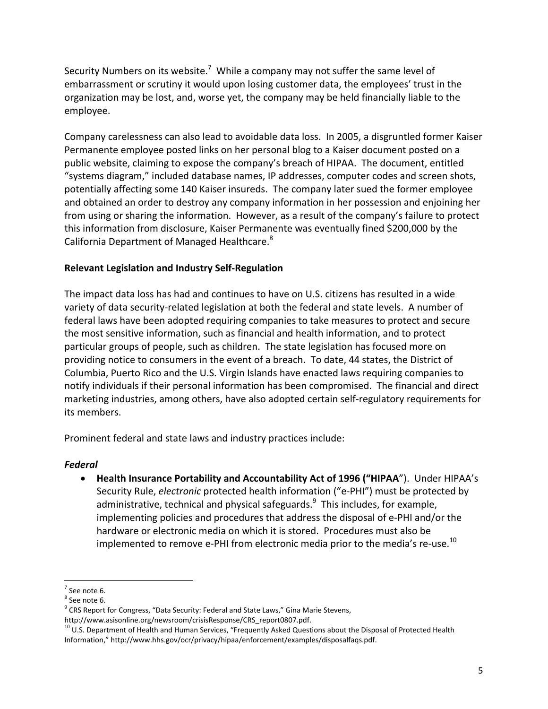Security Numbers on its website.<sup>7</sup> While a company may not suffer the same level of embarrassment or scrutiny it would upon losing customer data, the employees' trust in the organization may be lost, and, worse yet, the company may be held financially liable to the employee.

Company carelessness can also lead to avoidable data loss. In 2005, a disgruntled former Kaiser Permanente employee posted links on her personal blog to a Kaiser document posted on a public website, claiming to expose the company's breach of HIPAA. The document, entitled "systems diagram," included database names, IP addresses, computer codes and screen shots, potentially affecting some 140 Kaiser insureds. The company later sued the former employee and obtained an order to destroy any company information in her possession and enjoining her from using or sharing the information. However, as a result of the company's failure to protect this information from disclosure, Kaiser Permanente was eventually fined \$200,000 by the California Department of Managed Healthcare.<sup>8</sup>

## **Relevant Legislation and Industry Self‐Regulation**

The impact data loss has had and continues to have on U.S. citizens has resulted in a wide variety of data security‐related legislation at both the federal and state levels. A number of federal laws have been adopted requiring companies to take measures to protect and secure the most sensitive information, such as financial and health information, and to protect particular groups of people, such as children. The state legislation has focused more on providing notice to consumers in the event of a breach. To date, 44 states, the District of Columbia, Puerto Rico and the U.S. Virgin Islands have enacted laws requiring companies to notify individuals if their personal information has been compromised. The financial and direct marketing industries, among others, have also adopted certain self‐regulatory requirements for its members.

Prominent federal and state laws and industry practices include:

#### *Federal*

• **Health Insurance Portability and Accountability Act of 1996 ("HIPAA**"). Under HIPAA's Security Rule, *electronic* protected health information ("e‐PHI") must be protected by administrative, technical and physical safeguards. $^9$  This includes, for example, implementing policies and procedures that address the disposal of e‐PHI and/or the hardware or electronic media on which it is stored. Procedures must also be implemented to remove e-PHI from electronic media prior to the media's re-use.<sup>10</sup>

 $\overline{a}$ 

<sup>&</sup>lt;sup>7</sup> See note 6.<br><sup>8</sup> See note 6.<br><sup>9</sup> CRS Report for Congress, "Data Security: Federal and State Laws," Gina Marie Stevens,

http://www.asisonline.org/newsroom/crisisResponse/CRS\_report0807.pdf.<br><sup>10</sup> U.S. Department of Health and Human Services, "Frequently Asked Questions about the Disposal of Protected Health Information," http://www.hhs.gov/ocr/privacy/hipaa/enforcement/examples/disposalfaqs.pdf.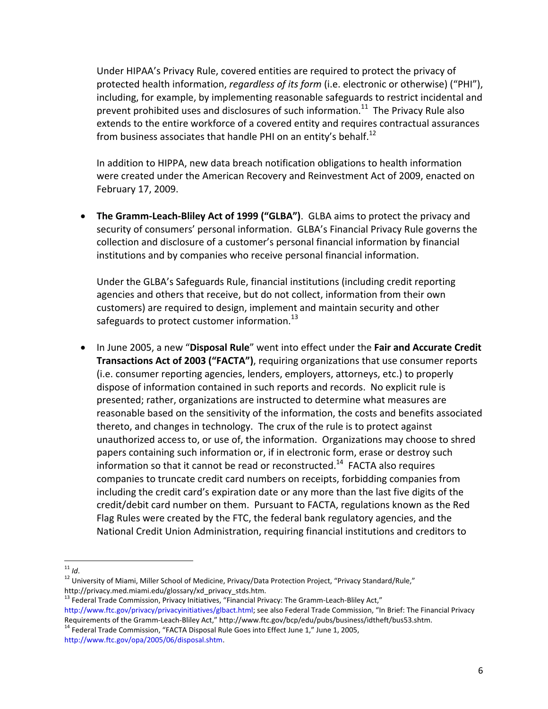Under HIPAA's Privacy Rule, covered entities are required to protect the privacy of protected health information, *regardless of its form* (i.e. electronic or otherwise) ("PHI"), including, for example, by implementing reasonable safeguards to restrict incidental and prevent prohibited uses and disclosures of such information.<sup>11</sup> The Privacy Rule also extends to the entire workforce of a covered entity and requires contractual assurances from business associates that handle PHI on an entity's behalf.<sup>12</sup>

In addition to HIPPA, new data breach notification obligations to health information were created under the American Recovery and Reinvestment Act of 2009, enacted on February 17, 2009.

• **The Gramm‐Leach‐Bliley Act of 1999 ("GLBA")**. GLBA aims to protect the privacy and security of consumers' personal information. GLBA's Financial Privacy Rule governs the collection and disclosure of a customer's personal financial information by financial institutions and by companies who receive personal financial information.

Under the GLBA's Safeguards Rule, financial institutions (including credit reporting agencies and others that receive, but do not collect, information from their own customers) are required to design, implement and maintain security and other safeguards to protect customer information. $^{13}$ 

• In June 2005, a new "**Disposal Rule**" went into effect under the **Fair and Accurate Credit Transactions Act of 2003 ("FACTA")**, requiring organizations that use consumer reports (i.e. consumer reporting agencies, lenders, employers, attorneys, etc.) to properly dispose of information contained in such reports and records. No explicit rule is presented; rather, organizations are instructed to determine what measures are reasonable based on the sensitivity of the information, the costs and benefits associated thereto, and changes in technology. The crux of the rule is to protect against unauthorized access to, or use of, the information. Organizations may choose to shred papers containing such information or, if in electronic form, erase or destroy such information so that it cannot be read or reconstructed.<sup>14</sup> FACTA also requires companies to truncate credit card numbers on receipts, forbidding companies from including the credit card's expiration date or any more than the last five digits of the credit/debit card number on them. Pursuant to FACTA, regulations known as the Red Flag Rules were created by the FTC, the federal bank regulatory agencies, and the National Credit Union Administration, requiring financial institutions and creditors to

 $11$  Id.

<sup>&</sup>lt;sup>12</sup> University of Miami, Miller School of Medicine, Privacy/Data Protection Project, "Privacy Standard/Rule," http://privacy.med.miami.edu/glossary/xd\_privacy\_stds.htm.

<sup>13</sup> Federal Trade Commission, Privacy Initiatives, "Financial Privacy: The Gramm-Leach-Bliley Act," http://www.ftc.gov/privacy/privacyinitiatives/glbact.html; see also Federal Trade Commission, "In Brief: The Financial Privacy

Requirements of the Gramm-Leach-Bliley Act," http://www.ftc.gov/bcp/edu/pubs/business/idtheft/bus53.shtm.<br><sup>14</sup> Federal Trade Commission, "FACTA Disposal Rule Goes into Effect June 1," June 1, 2005,

http://www.ftc.gov/opa/2005/06/disposal.shtm.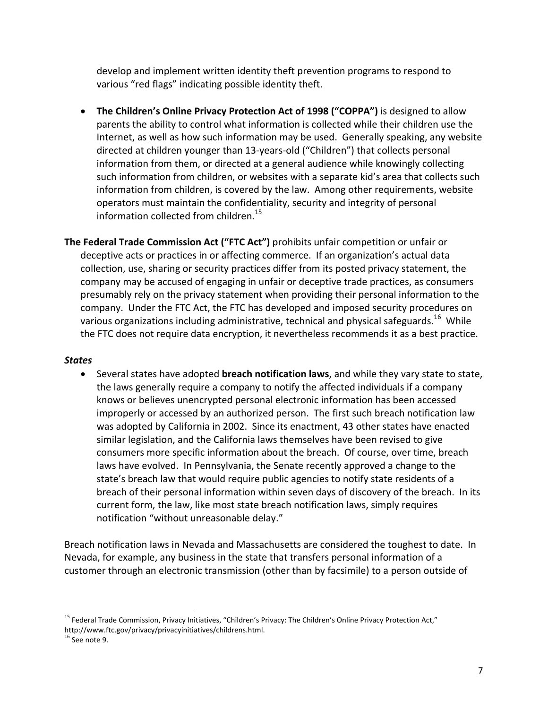develop and implement written identity theft prevention programs to respond to various "red flags" indicating possible identity theft.

- **The Children's Online Privacy Protection Act of 1998 ("COPPA")** is designed to allow parents the ability to control what information is collected while their children use the Internet, as well as how such information may be used. Generally speaking, any website directed at children younger than 13‐years‐old ("Children") that collects personal information from them, or directed at a general audience while knowingly collecting such information from children, or websites with a separate kid's area that collects such information from children, is covered by the law. Among other requirements, website operators must maintain the confidentiality, security and integrity of personal information collected from children.<sup>15</sup>
- **The Federal Trade Commission Act ("FTC Act")** prohibits unfair competition or unfair or deceptive acts or practices in or affecting commerce. If an organization's actual data collection, use, sharing or security practices differ from its posted privacy statement, the company may be accused of engaging in unfair or deceptive trade practices, as consumers presumably rely on the privacy statement when providing their personal information to the company. Under the FTC Act, the FTC has developed and imposed security procedures on various organizations including administrative, technical and physical safeguards.<sup>16</sup> While the FTC does not require data encryption, it nevertheless recommends it as a best practice.

#### *States*

• Several states have adopted **breach notification laws**, and while they vary state to state, the laws generally require a company to notify the affected individuals if a company knows or believes unencrypted personal electronic information has been accessed improperly or accessed by an authorized person. The first such breach notification law was adopted by California in 2002. Since its enactment, 43 other states have enacted similar legislation, and the California laws themselves have been revised to give consumers more specific information about the breach. Of course, over time, breach laws have evolved. In Pennsylvania, the Senate recently approved a change to the state's breach law that would require public agencies to notify state residents of a breach of their personal information within seven days of discovery of the breach. In its current form, the law, like most state breach notification laws, simply requires notification "without unreasonable delay."

Breach notification laws in Nevada and Massachusetts are considered the toughest to date. In Nevada, for example, any business in the state that transfers personal information of a customer through an electronic transmission (other than by facsimile) to a person outside of

 $\overline{a}$ 

<sup>&</sup>lt;sup>15</sup> Federal Trade Commission, Privacy Initiatives, "Children's Privacy: The Children's Online Privacy Protection Act," http://www.ftc.gov/privacy/privacyinitiatives/childrens.html.<br><sup>16</sup> See note 9.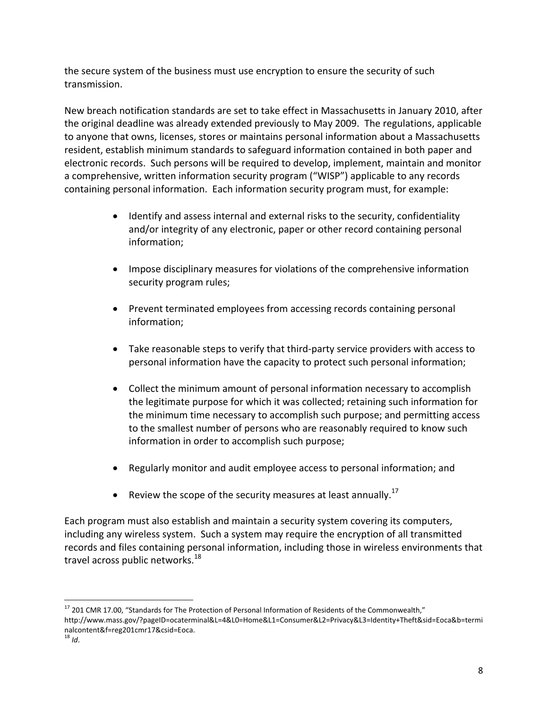the secure system of the business must use encryption to ensure the security of such transmission.

New breach notification standards are set to take effect in Massachusetts in January 2010, after the original deadline was already extended previously to May 2009. The regulations, applicable to anyone that owns, licenses, stores or maintains personal information about a Massachusetts resident, establish minimum standards to safeguard information contained in both paper and electronic records. Such persons will be required to develop, implement, maintain and monitor a comprehensive, written information security program ("WISP") applicable to any records containing personal information. Each information security program must, for example:

- Identify and assess internal and external risks to the security, confidentiality and/or integrity of any electronic, paper or other record containing personal information;
- Impose disciplinary measures for violations of the comprehensive information security program rules;
- Prevent terminated employees from accessing records containing personal information;
- Take reasonable steps to verify that third‐party service providers with access to personal information have the capacity to protect such personal information;
- Collect the minimum amount of personal information necessary to accomplish the legitimate purpose for which it was collected; retaining such information for the minimum time necessary to accomplish such purpose; and permitting access to the smallest number of persons who are reasonably required to know such information in order to accomplish such purpose;
- Regularly monitor and audit employee access to personal information; and
- Review the scope of the security measures at least annually.<sup>17</sup>

Each program must also establish and maintain a security system covering its computers, including any wireless system. Such a system may require the encryption of all transmitted records and files containing personal information, including those in wireless environments that travel across public networks.<sup>18</sup>

 $\overline{a}$ <sup>17</sup> 201 CMR 17.00, "Standards for The Protection of Personal Information of Residents of the Commonwealth," http://www.mass.gov/?pageID=ocaterminal&L=4&L0=Home&L1=Consumer&L2=Privacy&L3=Identity+Theft&sid=Eoca&b=termi nalcontent&f=reg201cmr17&csid=Eoca.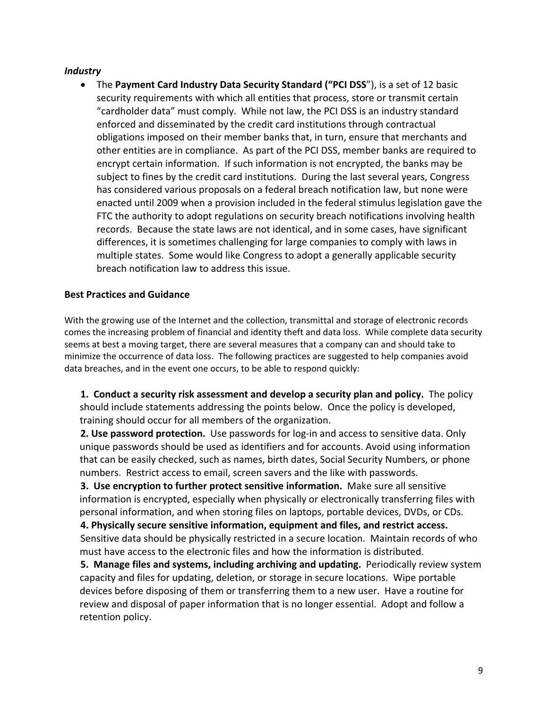#### *Industry*

• The **Payment Card Industry Data Security Standard ("PCI DSS**"), is a set of 12 basic security requirements with which all entities that process, store or transmit certain "cardholder data" must comply. While not law, the PCI DSS is an industry standard enforced and disseminated by the credit card institutions through contractual obligations imposed on their member banks that, in turn, ensure that merchants and other entities are in compliance. As part of the PCI DSS, member banks are required to encrypt certain information. If such information is not encrypted, the banks may be subject to fines by the credit card institutions. During the last several years, Congress has considered various proposals on a federal breach notification law, but none were enacted until 2009 when a provision included in the federal stimulus legislation gave the FTC the authority to adopt regulations on security breach notifications involving health records. Because the state laws are not identical, and in some cases, have significant differences, it is sometimes challenging for large companies to comply with laws in multiple states. Some would like Congress to adopt a generally applicable security breach notification law to address this issue.

#### **Best Practices and Guidance**

With the growing use of the Internet and the collection, transmittal and storage of electronic records comes the increasing problem of financial and identity theft and data loss. While complete data security seems at best a moving target, there are several measures that a company can and should take to minimize the occurrence of data loss. The following practices are suggested to help companies avoid data breaches, and in the event one occurs, to be able to respond quickly:

**1. Conduct a security risk assessment and develop a security plan and policy.** The policy should include statements addressing the points below. Once the policy is developed, training should occur for all members of the organization.

**2. Use password protection.** Use passwords for log‐in and access to sensitive data. Only unique passwords should be used as identifiers and for accounts. Avoid using information that can be easily checked, such as names, birth dates, Social Security Numbers, or phone numbers. Restrict access to email, screen savers and the like with passwords.

**3. Use encryption to further protect sensitive information.** Make sure all sensitive information is encrypted, especially when physically or electronically transferring files with personal information, and when storing files on laptops, portable devices, DVDs, or CDs.

**4. Physically secure sensitive information, equipment and files, and restrict access.** Sensitive data should be physically restricted in a secure location. Maintain records of who must have access to the electronic files and how the information is distributed.

**5. Manage files and systems, including archiving and updating.** Periodically review system capacity and files for updating, deletion, or storage in secure locations. Wipe portable devices before disposing of them or transferring them to a new user. Have a routine for review and disposal of paper information that is no longer essential. Adopt and follow a retention policy.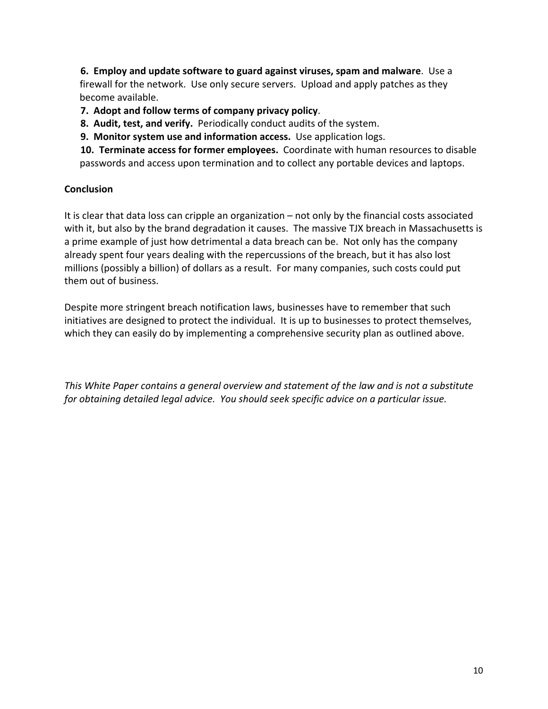**6. Employ and update software to guard against viruses, spam and malware**. Use a firewall for the network. Use only secure servers. Upload and apply patches as they become available.

**7. Adopt and follow terms of company privacy policy**.

**8. Audit, test, and verify.** Periodically conduct audits of the system.

**9. Monitor system use and information access.** Use application logs.

**10. Terminate access for former employees.** Coordinate with human resources to disable passwords and access upon termination and to collect any portable devices and laptops.

### **Conclusion**

It is clear that data loss can cripple an organization – not only by the financial costs associated with it, but also by the brand degradation it causes. The massive TJX breach in Massachusetts is a prime example of just how detrimental a data breach can be. Not only has the company already spent four years dealing with the repercussions of the breach, but it has also lost millions (possibly a billion) of dollars as a result. For many companies, such costs could put them out of business.

Despite more stringent breach notification laws, businesses have to remember that such initiatives are designed to protect the individual. It is up to businesses to protect themselves, which they can easily do by implementing a comprehensive security plan as outlined above.

*This White Paper contains a general overview and statement of the law and is not a substitute for obtaining detailed legal advice. You should seek specific advice on a particular issue.*